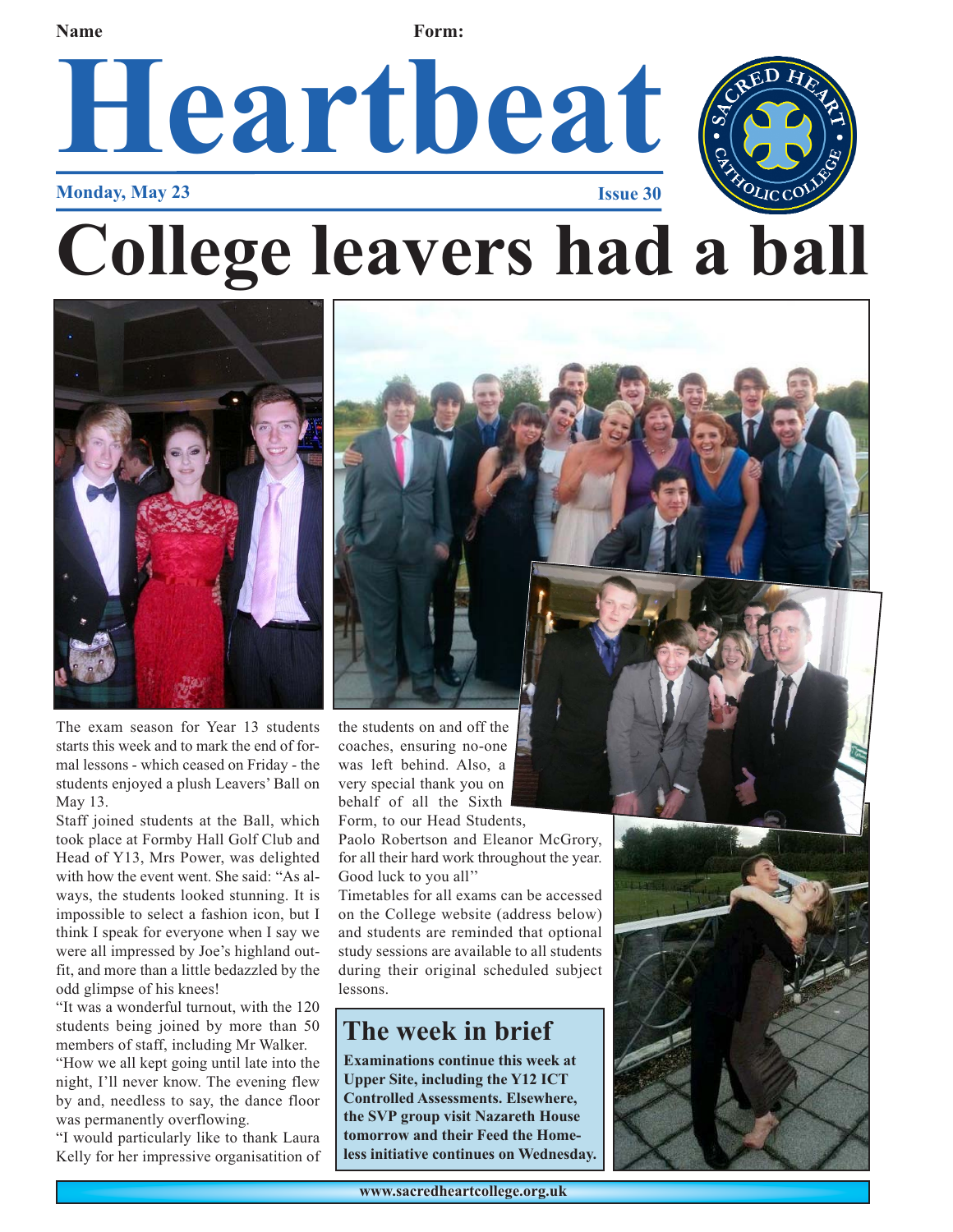**Name Form:** 

# Heartbeat



**Monday, May 23** 

**College leavers had a ball**



The exam season for Year 13 students starts this week and to mark the end of formal lessons - which ceased on Friday - the students enjoyed a plush Leavers' Ball on May 13.

Staff joined students at the Ball, which took place at Formby Hall Golf Club and Head of Y13, Mrs Power, was delighted with how the event went. She said: "As always, the students looked stunning. It is impossible to select a fashion icon, but I think I speak for everyone when I say we were all impressed by Joe's highland outfit, and more than a little bedazzled by the odd glimpse of his knees!

"It was a wonderful turnout, with the 120 students being joined by more than 50 members of staff, including Mr Walker. "How we all kept going until late into the night, I'll never know. The evening flew by and, needless to say, the dance floor was permanently overflowing.

"I would particularly like to thank Laura Kelly for her impressive organisatition of the students on and off the coaches, ensuring no-one was left behind. Also, a very special thank you on behalf of all the Sixth Form, to our Head Students,

Paolo Robertson and Eleanor McGrory, for all their hard work throughout the year. Good luck to you all''

Timetables for all exams can be accessed on the College website (address below) and students are reminded that optional study sessions are available to all students during their original scheduled subject lessons.

#### **The week in brief**

**Examinations continue this week at Upper Site, including the Y12 ICT Controlled Assessments. Elsewhere, the SVP group visit Nazareth House tomorrow and their Feed the Homeless initiative continues on Wednesday.**